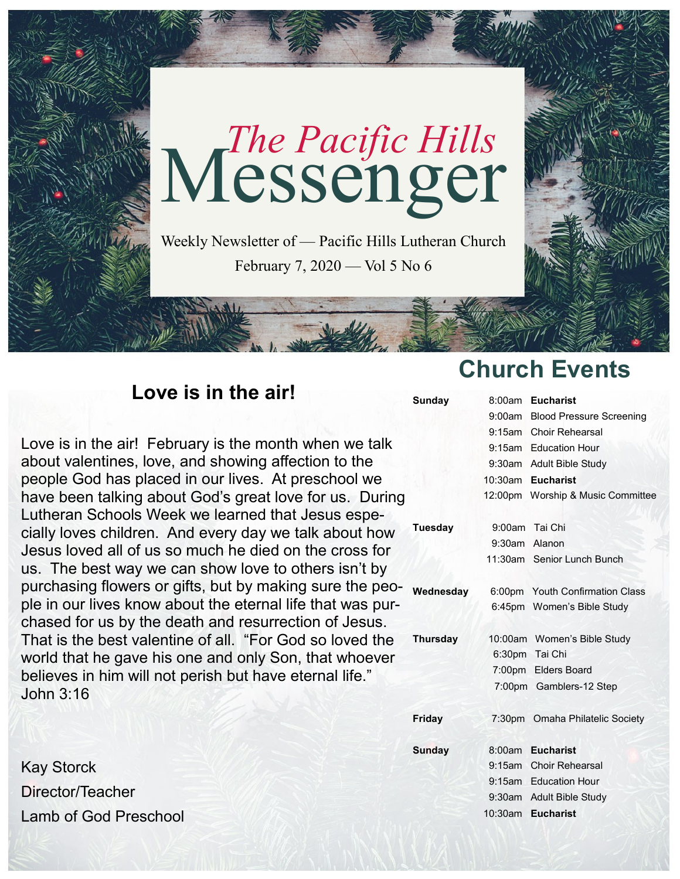

February 7, 2020 — Vol 5 No 6

## **Love is in the air!**

**Sunda** 

**Tuesda** purchasing flowers or gifts, but by making sure the peo- wednesday 6:00pm Youth Confirmation Class **Thursd** Love is in the air! February is the month when we talk about valentines, love, and showing affection to the people God has placed in our lives. At preschool we have been talking about God's great love for us. During Lutheran Schools Week we learned that Jesus especially loves children. And every day we talk about how Jesus loved all of us so much he died on the cross for us. The best way we can show love to others isn't by ple in our lives know about the eternal life that was purchased for us by the death and resurrection of Jesus. That is the best valentine of all. "For God so loved the world that he gave his one and only Son, that whoever believes in him will not perish but have eternal life." John 3:16

Kay Storck Director/Teacher Lamb of God Preschool

# **Church Events**

| <b>Sunday</b>   |               | 8:00am Eucharist                  |
|-----------------|---------------|-----------------------------------|
|                 |               | 9:00am Blood Pressure Screening   |
|                 |               | 9:15am Choir Rehearsal            |
|                 |               | 9:15am Education Hour             |
|                 |               | 9:30am Adult Bible Study          |
|                 |               | 10:30am Eucharist                 |
|                 |               | 12:00pm Worship & Music Committee |
| <b>Tuesday</b>  |               | 9:00am Tai Chi                    |
|                 | 9:30am Alanon |                                   |
|                 |               | 11:30am Senior Lunch Bunch        |
| Wednesday       |               | 6:00pm Youth Confirmation Class   |
|                 |               | 6:45pm Women's Bible Study        |
| <b>Thursday</b> |               | 10:00am Women's Bible Study       |
|                 |               | 6:30pm Tai Chi                    |
|                 |               | 7:00pm Elders Board               |
|                 |               | 7:00pm Gamblers-12 Step           |
| Friday          |               | 7:30pm Omaha Philatelic Society   |
| <b>Sunday</b>   |               | 8:00am Eucharist                  |
|                 |               | 9:15am Choir Rehearsal            |
|                 |               | 9:15am Education Hour             |
|                 |               | 9:30am Adult Bible Study          |
|                 | 10:30am       | <b>Eucharist</b>                  |